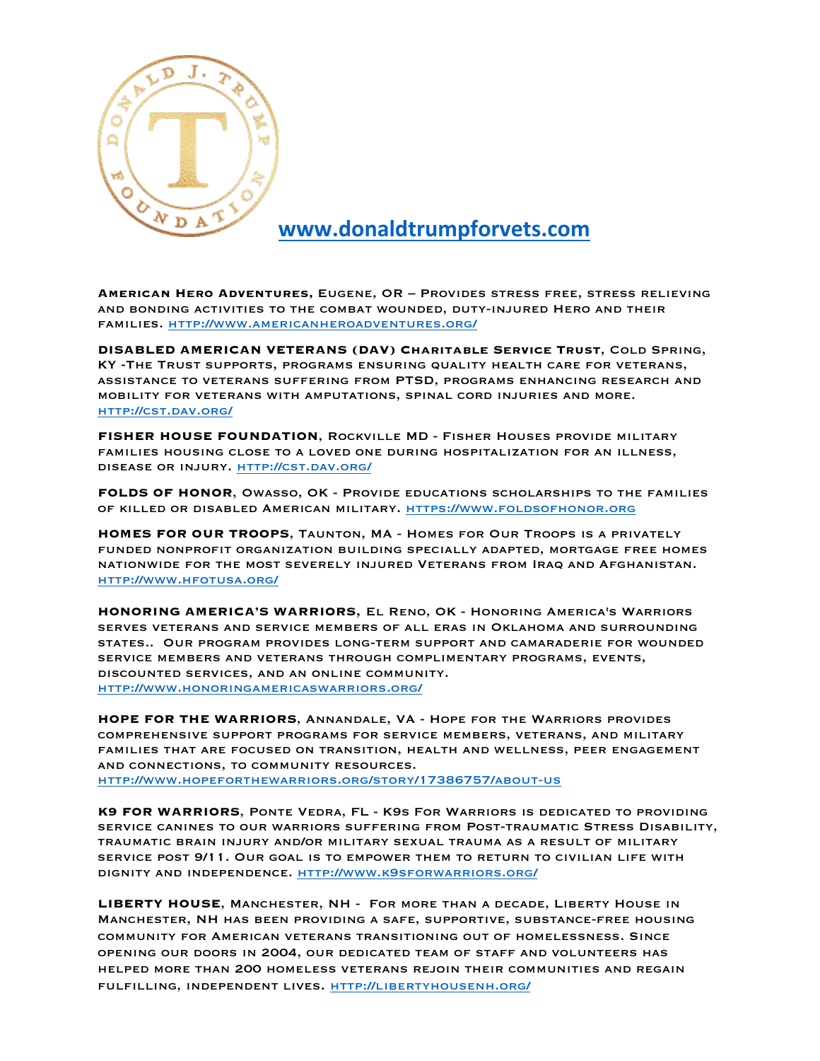

## **www.donaldtrumpforvets.com**

**American Hero Adventures,** Eugene, OR – Provides stress free, stress relieving and bonding activities to the combat wounded, duty-injured Hero and their families. http://www.americanheroadventures.org/

**DISABLED AMERICAN VETERANS (DAV) Charitable Service Trust**, Cold Spring, KY -The Trust supports, programs ensuring quality health care for veterans, assistance to veterans suffering from PTSD, programs enhancing research and mobility for veterans with amputations, spinal cord injuries and more. http://cst.dav.org/

**FISHER HOUSE FOUNDATION**, Rockville MD - Fisher Houses provide military families housing close to a loved one during hospitalization for an illness, disease or injury. http://cst.dav.org/

**FOLDS OF HONOR**, Owasso, OK - Provide educations scholarships to the families of killed or disabled American military. https://www.foldsofhonor.org

**HOMES FOR OUR TROOPS**, Taunton, MA - Homes for Our Troops is a privately funded nonprofit organization building specially adapted, mortgage free homes nationwide for the most severely injured Veterans from Iraq and Afghanistan. http://www.hfotusa.org/

**HONORING AMERICA'S WARRIORS**, El Reno, OK - Honoring America's Warriors serves veterans and service members of all eras in Oklahoma and surrounding states.. Our program provides long-term support and camaraderie for wounded service members and veterans through complimentary programs, events, discounted services, and an online community. http://www.honoringamericaswarriors.org/

**HOPE FOR THE WARRIORS**, Annandale, VA - Hope for the Warriors provides comprehensive support programs for service members, veterans, and military families that are focused on transition, health and wellness, peer engagement and connections, to community resources. http://www.hopeforthewarriors.org/story/17386757/about-us

**K9 FOR WARRIORS**, Ponte Vedra, FL - K9s For Warriors is dedicated to providing service canines to our warriors suffering from Post-traumatic Stress Disability, traumatic brain injury and/or military sexual trauma as a result of military service post 9/11. Our goal is to empower them to return to civilian life with dignity and independence. http://www.k9sforwarriors.org/

**LIBERTY HOUSE**, Manchester, NH - For more than a decade, Liberty House in Manchester, NH has been providing a safe, supportive, substance-free housing community for American veterans transitioning out of homelessness. Since opening our doors in 2004, our dedicated team of staff and volunteers has helped more than 200 homeless veterans rejoin their communities and regain fulfilling, independent lives. http://libertyhousenh.org/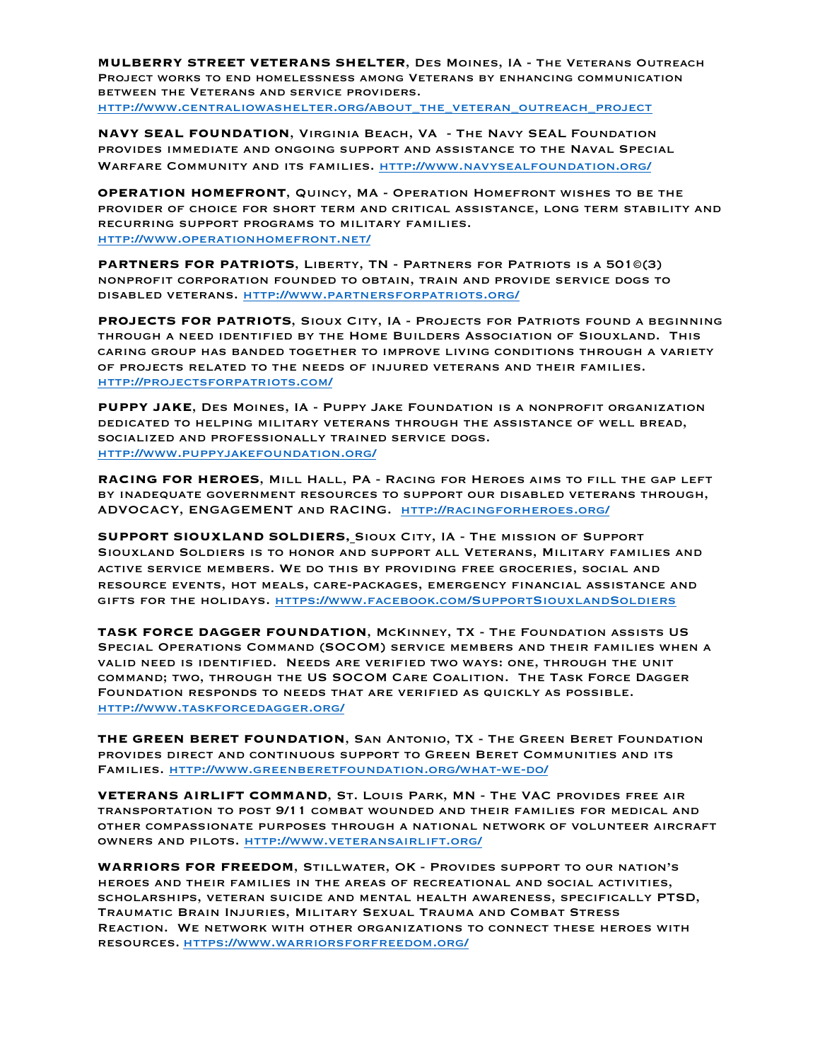**MULBERRY STREET VETERANS SHELTER**, Des Moines, IA - The Veterans Outreach Project works to end homelessness among Veterans by enhancing communication between the Veterans and service providers. http://www.centraliowashelter.org/about\_the\_veteran\_outreach\_project

**NAVY SEAL FOUNDATION**, Virginia Beach, VA - The Navy SEAL Foundation provides immediate and ongoing support and assistance to the Naval Special Warfare Community and its families. http://www.navysealfoundation.org/

**OPERATION HOMEFRONT**, Quincy, MA - Operation Homefront wishes to be the provider of choice for short term and critical assistance, long term stability and recurring support programs to military families. http://www.operationhomefront.net/

**PARTNERS FOR PATRIOTS**, Liberty, TN - Partners for Patriots is a 501©(3) nonprofit corporation founded to obtain, train and provide service dogs to disabled veterans. http://www.partnersforpatriots.org/

**PROJECTS FOR PATRIOTS**, Sioux City, IA - Projects for Patriots found a beginning through a need identified by the Home Builders Association of Siouxland. This caring group has banded together to improve living conditions through a variety of projects related to the needs of injured veterans and their families. http://projectsforpatriots.com/

**PUPPY JAKE**, Des Moines, IA - Puppy Jake Foundation is a nonprofit organization dedicated to helping military veterans through the assistance of well bread, socialized and professionally trained service dogs. http://www.puppyjakefoundation.org/

**RACING FOR HEROES**, Mill Hall, PA - Racing for Heroes aims to fill the gap left by inadequate government resources to support our disabled veterans through, ADVOCACY, ENGAGEMENT and RACING. http://racingforheroes.org/

**SUPPORT SIOUXLAND SOLDIERS,** Sioux City, IA - The mission of Support Siouxland Soldiers is to honor and support all Veterans, Military families and active service members. We do this by providing free groceries, social and resource events, hot meals, care-packages, emergency financial assistance and gifts for the holidays. https://www.facebook.com/SupportSiouxlandSoldiers

**TASK FORCE DAGGER FOUNDATION**, McKinney, TX - The Foundation assists US Special Operations Command (SOCOM) service members and their families when a valid need is identified. Needs are verified two ways: one, through the unit command; two, through the US SOCOM Care Coalition. The Task Force Dagger Foundation responds to needs that are verified as quickly as possible. http://www.taskforcedagger.org/

**THE GREEN BERET FOUNDATION**, San Antonio, TX - The Green Beret Foundation provides direct and continuous support to Green Beret Communities and its Families. http://www.greenberetfoundation.org/what-we-do/

**VETERANS AIRLIFT COMMAND**, St. Louis Park, MN - The VAC provides free air transportation to post 9/11 combat wounded and their families for medical and other compassionate purposes through a national network of volunteer aircraft owners and pilots. http://www.veteransairlift.org/

**WARRIORS FOR FREEDOM**, Stillwater, OK - Provides support to our nation's heroes and their families in the areas of recreational and social activities, scholarships, veteran suicide and mental health awareness, specifically PTSD, Traumatic Brain Injuries, Military Sexual Trauma and Combat Stress Reaction. We network with other organizations to connect these heroes with resources. https://www.warriorsforfreedom.org/